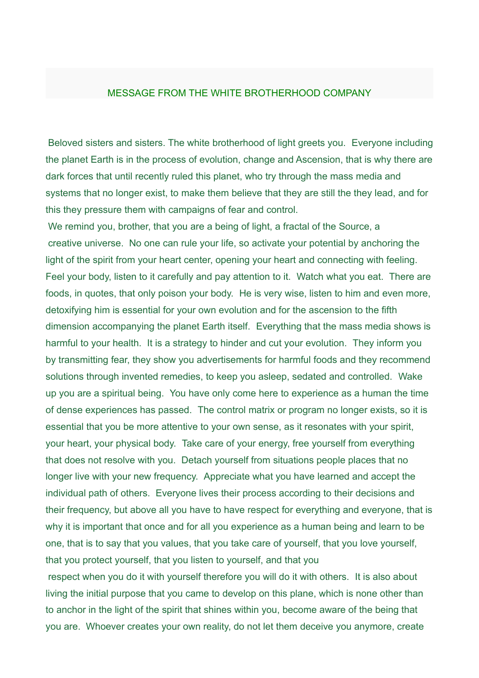## MESSAGE FROM THE WHITE BROTHERHOOD COMPANY

Beloved sisters and sisters. The white brotherhood of light greets you. Everyone including the planet Earth is in the process of evolution, change and Ascension, that is why there are dark forces that until recently ruled this planet, who try through the mass media and systems that no longer exist, to make them believe that they are still the they lead, and for this they pressure them with campaigns of fear and control.

We remind you, brother, that you are a being of light, a fractal of the Source, a creative universe. No one can rule your life, so activate your potential by anchoring the light of the spirit from your heart center, opening your heart and connecting with feeling. Feel your body, listen to it carefully and pay attention to it. Watch what you eat. There are foods, in quotes, that only poison your body. He is very wise, listen to him and even more, detoxifying him is essential for your own evolution and for the ascension to the fifth dimension accompanying the planet Earth itself. Everything that the mass media shows is harmful to your health. It is a strategy to hinder and cut your evolution. They inform you by transmitting fear, they show you advertisements for harmful foods and they recommend solutions through invented remedies, to keep you asleep, sedated and controlled. Wake up you are a spiritual being. You have only come here to experience as a human the time of dense experiences has passed. The control matrix or program no longer exists, so it is essential that you be more attentive to your own sense, as it resonates with your spirit, your heart, your physical body. Take care of your energy, free yourself from everything that does not resolve with you. Detach yourself from situations people places that no longer live with your new frequency. Appreciate what you have learned and accept the individual path of others. Everyone lives their process according to their decisions and their frequency, but above all you have to have respect for everything and everyone, that is why it is important that once and for all you experience as a human being and learn to be one, that is to say that you values, that you take care of yourself, that you love yourself, that you protect yourself, that you listen to yourself, and that you

respect when you do it with yourself therefore you will do it with others. It is also about living the initial purpose that you came to develop on this plane, which is none other than to anchor in the light of the spirit that shines within you, become aware of the being that you are. Whoever creates your own reality, do not let them deceive you anymore, create